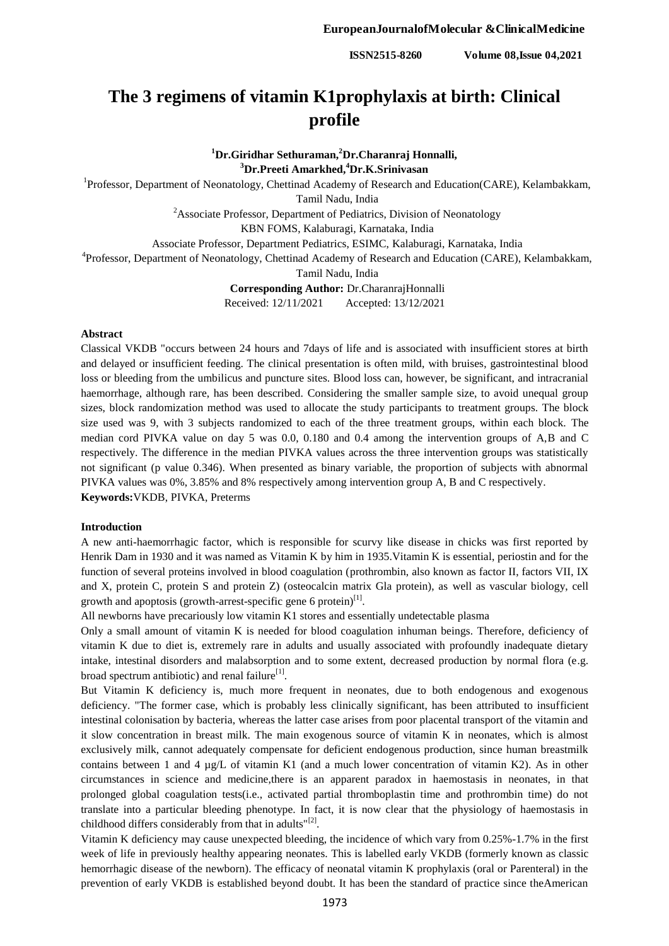# **The 3 regimens of vitamin K1prophylaxis at birth: Clinical profile**

**<sup>1</sup>Dr.Giridhar Sethuraman,<sup>2</sup>Dr.Charanraj Honnalli, <sup>3</sup>Dr.Preeti Amarkhed,<sup>4</sup>Dr.K.Srinivasan**

<sup>1</sup>Professor, Department of Neonatology, Chettinad Academy of Research and Education(CARE), Kelambakkam,

Tamil Nadu, India

 $2A$ ssociate Professor, Department of Pediatrics, Division of Neonatology

KBN FOMS, Kalaburagi, Karnataka, India

Associate Professor, Department Pediatrics, ESIMC, Kalaburagi, Karnataka, India

<sup>4</sup>Professor, Department of Neonatology, Chettinad Academy of Research and Education (CARE), Kelambakkam,

Tamil Nadu, India

**Corresponding Author:** Dr.CharanrajHonnalli

Received: 12/11/2021 Accepted: 13/12/2021

#### **Abstract**

Classical VKDB "occurs between 24 hours and 7days of life and is associated with insufficient stores at birth and delayed or insufficient feeding. The clinical presentation is often mild, with bruises, gastrointestinal blood loss or bleeding from the umbilicus and puncture sites. Blood loss can, however, be significant, and intracranial haemorrhage, although rare, has been described. Considering the smaller sample size, to avoid unequal group sizes, block randomization method was used to allocate the study participants to treatment groups. The block size used was 9, with 3 subjects randomized to each of the three treatment groups, within each block. The median cord PIVKA value on day 5 was 0.0, 0.180 and 0.4 among the intervention groups of A,B and C respectively. The difference in the median PIVKA values across the three intervention groups was statistically not significant (p value 0.346). When presented as binary variable, the proportion of subjects with abnormal PIVKA values was 0%, 3.85% and 8% respectively among intervention group A, B and C respectively. **Keywords:**VKDB, PIVKA, Preterms

## **Introduction**

A new anti-haemorrhagic factor, which is responsible for scurvy like disease in chicks was first reported by Henrik Dam in 1930 and it was named as Vitamin K by him in 1935.Vitamin K is essential, periostin and for the function of several proteins involved in blood coagulation (prothrombin, also known as factor II, factors VII, IX and X, protein C, protein S and protein Z) (osteocalcin matrix Gla protein), as well as vascular biology, cell growth and apoptosis (growth-arrest-specific gene 6 protein)<sup>[1]</sup>.

All newborns have precariously low vitamin K1 stores and essentially undetectable plasma

Only a small amount of vitamin K is needed for blood coagulation inhuman beings. Therefore, deficiency of vitamin K due to diet is, extremely rare in adults and usually associated with profoundly inadequate dietary intake, intestinal disorders and malabsorption and to some extent, decreased production by normal flora (e.g. broad spectrum antibiotic) and renal failure<sup>[1]</sup>.

But Vitamin K deficiency is, much more frequent in neonates, due to both endogenous and exogenous deficiency. "The former case, which is probably less clinically significant, has been attributed to insufficient intestinal colonisation by bacteria, whereas the latter case arises from poor placental transport of the vitamin and it slow concentration in breast milk. The main exogenous source of vitamin K in neonates, which is almost exclusively milk, cannot adequately compensate for deficient endogenous production, since human breastmilk contains between 1 and 4 µg/L of vitamin K1 (and a much lower concentration of vitamin K2). As in other circumstances in science and medicine,there is an apparent paradox in haemostasis in neonates, in that prolonged global coagulation tests(i.e., activated partial thromboplastin time and prothrombin time) do not translate into a particular bleeding phenotype. In fact, it is now clear that the physiology of haemostasis in childhood differs considerably from that in adults"<sup>[2]</sup>.

Vitamin K deficiency may cause unexpected bleeding, the incidence of which vary from 0.25%-1.7% in the first week of life in previously healthy appearing neonates. This is labelled early VKDB (formerly known as classic hemorrhagic disease of the newborn). The efficacy of neonatal vitamin K prophylaxis (oral or Parenteral) in the prevention of early VKDB is established beyond doubt. It has been the standard of practice since theAmerican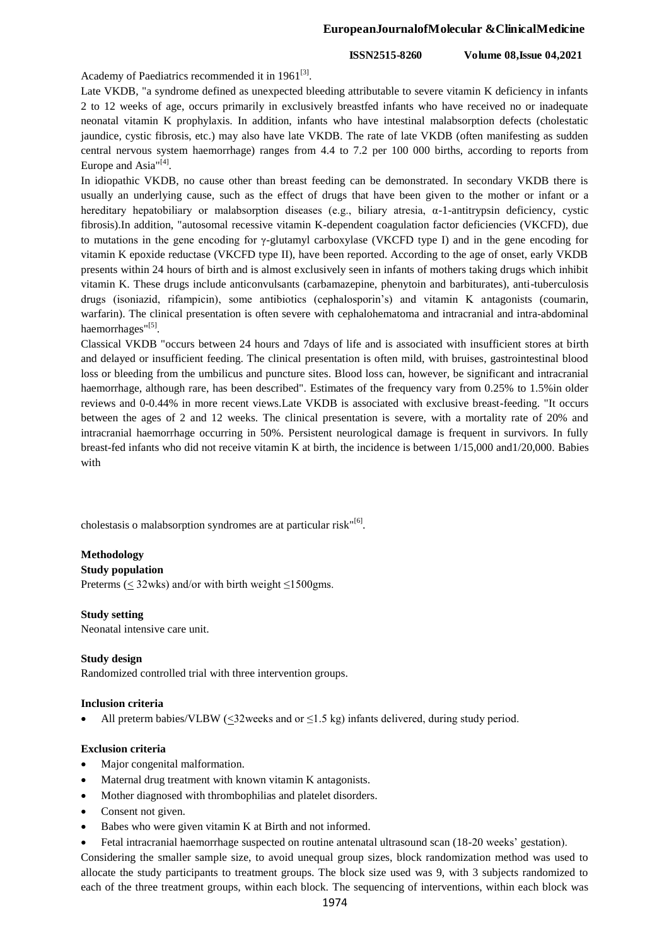**ISSN2515-8260 Volume 08,Issue 04,2021**

Academy of Paediatrics recommended it in  $1961^{[3]}$ .

Late VKDB, "a syndrome defined as unexpected bleeding attributable to severe vitamin K deficiency in infants 2 to 12 weeks of age, occurs primarily in exclusively breastfed infants who have received no or inadequate neonatal vitamin K prophylaxis. In addition, infants who have intestinal malabsorption defects (cholestatic jaundice, cystic fibrosis, etc.) may also have late VKDB. The rate of late VKDB (often manifesting as sudden central nervous system haemorrhage) ranges from 4.4 to 7.2 per 100 000 births, according to reports from Europe and Asia"<sup>[4]</sup>.

In idiopathic VKDB, no cause other than breast feeding can be demonstrated. In secondary VKDB there is usually an underlying cause, such as the effect of drugs that have been given to the mother or infant or a hereditary hepatobiliary or malabsorption diseases (e.g., biliary atresia,  $\alpha$ -1-antitrypsin deficiency, cystic fibrosis).In addition, "autosomal recessive vitamin K-dependent coagulation factor deficiencies (VKCFD), due to mutations in the gene encoding for γ-glutamyl carboxylase (VKCFD type I) and in the gene encoding for vitamin K epoxide reductase (VKCFD type II), have been reported. According to the age of onset, early VKDB presents within 24 hours of birth and is almost exclusively seen in infants of mothers taking drugs which inhibit vitamin K. These drugs include anticonvulsants (carbamazepine, phenytoin and barbiturates), anti-tuberculosis drugs (isoniazid, rifampicin), some antibiotics (cephalosporin's) and vitamin K antagonists (coumarin, warfarin). The clinical presentation is often severe with cephalohematoma and intracranial and intra-abdominal haemorrhages"[5].

Classical VKDB "occurs between 24 hours and 7days of life and is associated with insufficient stores at birth and delayed or insufficient feeding. The clinical presentation is often mild, with bruises, gastrointestinal blood loss or bleeding from the umbilicus and puncture sites. Blood loss can, however, be significant and intracranial haemorrhage, although rare, has been described". Estimates of the frequency vary from 0.25% to 1.5%in older reviews and 0-0.44% in more recent views.Late VKDB is associated with exclusive breast-feeding. "It occurs between the ages of 2 and 12 weeks. The clinical presentation is severe, with a mortality rate of 20% and intracranial haemorrhage occurring in 50%. Persistent neurological damage is frequent in survivors. In fully breast-fed infants who did not receive vitamin K at birth, the incidence is between 1/15,000 and1/20,000. Babies with

cholestasis o malabsorption syndromes are at particular risk"[6].

# **Methodology**

## **Study population**

Preterms ( $\leq$  32wks) and/or with birth weight  $\leq$ 1500gms.

## **Study setting**

Neonatal intensive care unit.

## **Study design**

Randomized controlled trial with three intervention groups.

## **Inclusion criteria**

All preterm babies/VLBW  $(\leq 32$ weeks and or  $\leq 1.5$  kg) infants delivered, during study period.

## **Exclusion criteria**

- Major congenital malformation.
- Maternal drug treatment with known vitamin K antagonists.
- Mother diagnosed with thrombophilias and platelet disorders.
- Consent not given.
- Babes who were given vitamin K at Birth and not informed.
- Fetal intracranial haemorrhage suspected on routine antenatal ultrasound scan (18-20 weeks' gestation).

Considering the smaller sample size, to avoid unequal group sizes, block randomization method was used to allocate the study participants to treatment groups. The block size used was 9, with 3 subjects randomized to each of the three treatment groups, within each block. The sequencing of interventions, within each block was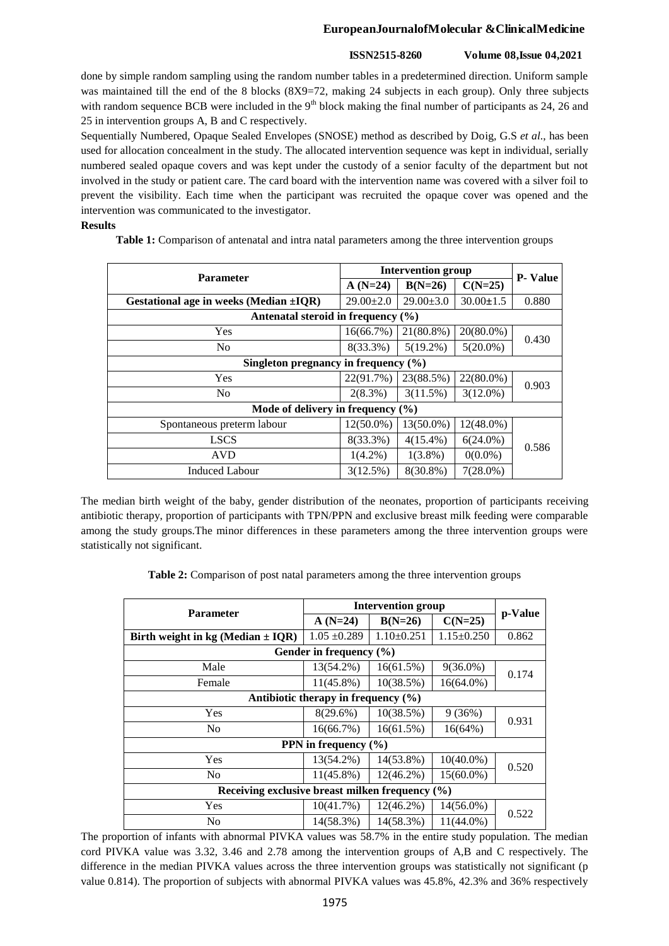# **EuropeanJournalofMolecular &ClinicalMedicine**

# **ISSN2515-8260 Volume 08,Issue 04,2021**

done by simple random sampling using the random number tables in a predetermined direction. Uniform sample was maintained till the end of the 8 blocks (8X9=72, making 24 subjects in each group). Only three subjects with random sequence BCB were included in the  $9<sup>th</sup>$  block making the final number of participants as 24, 26 and 25 in intervention groups A, B and C respectively.

Sequentially Numbered, Opaque Sealed Envelopes (SNOSE) method as described by Doig, G.S *et al*., has been used for allocation concealment in the study. The allocated intervention sequence was kept in individual, serially numbered sealed opaque covers and was kept under the custody of a senior faculty of the department but not involved in the study or patient care. The card board with the intervention name was covered with a silver foil to prevent the visibility. Each time when the participant was recruited the opaque cover was opened and the intervention was communicated to the investigator.

## **Results**

**Table 1:** Comparison of antenatal and intra natal parameters among the three intervention groups

| <b>Parameter</b>                             | <b>Intervention group</b> | <b>P</b> - Value |                 |       |  |  |  |
|----------------------------------------------|---------------------------|------------------|-----------------|-------|--|--|--|
|                                              | $A(N=24)$                 | $B(N=26)$        | $C(N=25)$       |       |  |  |  |
| Gestational age in weeks (Median $\pm IQR$ ) | $29.00 \pm 2.0$           | $29.00 \pm 3.0$  | $30.00 \pm 1.5$ | 0.880 |  |  |  |
| Antenatal steroid in frequency (%)           |                           |                  |                 |       |  |  |  |
| Yes                                          | 16(66.7%)                 | 21(80.8%)        | $20(80.0\%)$    | 0.430 |  |  |  |
| N <sub>o</sub>                               | $8(33.3\%)$               | $5(19.2\%)$      | $5(20.0\%)$     |       |  |  |  |
| Singleton pregnancy in frequency $(\% )$     |                           |                  |                 |       |  |  |  |
| Yes                                          | 22(91.7%)                 | 23(88.5%)        | $22(80.0\%)$    |       |  |  |  |
| N <sub>o</sub>                               | $2(8.3\%)$                | 3(11.5%)         | $3(12.0\%)$     | 0.903 |  |  |  |
| Mode of delivery in frequency $(\% )$        |                           |                  |                 |       |  |  |  |
| Spontaneous preterm labour                   | $12(50.0\%)$              | $13(50.0\%)$     | $12(48.0\%)$    | 0.586 |  |  |  |
| <b>LSCS</b>                                  | 8(33.3%)                  | $4(15.4\%)$      | $6(24.0\%)$     |       |  |  |  |
| <b>AVD</b>                                   | $1(4.2\%)$                | $1(3.8\%)$       | $0(0.0\%)$      |       |  |  |  |
| <b>Induced Labour</b>                        | 3(12.5%)                  | 8(30.8%)         | $7(28.0\%)$     |       |  |  |  |

The median birth weight of the baby, gender distribution of the neonates, proportion of participants receiving antibiotic therapy, proportion of participants with TPN/PPN and exclusive breast milk feeding were comparable among the study groups.The minor differences in these parameters among the three intervention groups were statistically not significant.

**Table 2:** Comparison of post natal parameters among the three intervention groups

| <b>Parameter</b>                                    | <b>Intervention group</b> |                  |                  |         |  |  |  |
|-----------------------------------------------------|---------------------------|------------------|------------------|---------|--|--|--|
|                                                     | $A(N=24)$                 | $B(N=26)$        | $C(N=25)$        | p-Value |  |  |  |
| Birth weight in kg (Median $\pm$ IQR)               | $1.05 \pm 0.289$          | $1.10 \pm 0.251$ | $1.15 \pm 0.250$ | 0.862   |  |  |  |
| Gender in frequency (%)                             |                           |                  |                  |         |  |  |  |
| Male                                                | 13(54.2%)                 | 16(61.5%)        | $9(36.0\%)$      | 0.174   |  |  |  |
| Female                                              | $11(45.8\%)$              | 10(38.5%)        | $16(64.0\%)$     |         |  |  |  |
| Antibiotic therapy in frequency $(\% )$             |                           |                  |                  |         |  |  |  |
| <b>Yes</b>                                          | 8(29.6%)                  | 10(38.5%)        | 9(36%)           | 0.931   |  |  |  |
| N <sub>0</sub>                                      | 16(66.7%)                 | 16(61.5%)        | $16(64\%)$       |         |  |  |  |
| PPN in frequency (%)                                |                           |                  |                  |         |  |  |  |
| Yes                                                 | 13(54.2%)                 | 14(53.8%)        | $10(40.0\%)$     | 0.520   |  |  |  |
| N <sub>0</sub>                                      | $11(45.8\%)$              | $12(46.2\%)$     | 15(60.0%)        |         |  |  |  |
| Receiving exclusive breast milken frequency $(\% )$ |                           |                  |                  |         |  |  |  |
| Yes                                                 | 10(41.7%)                 | 12(46.2%)        | 14(56.0%)        | 0.522   |  |  |  |
| N <sub>0</sub>                                      | 14(58.3%)                 | 14(58.3%)        | $11(44.0\%)$     |         |  |  |  |

The proportion of infants with abnormal PIVKA values was 58.7% in the entire study population. The median cord PIVKA value was 3.32, 3.46 and 2.78 among the intervention groups of A,B and C respectively. The difference in the median PIVKA values across the three intervention groups was statistically not significant (p value 0.814). The proportion of subjects with abnormal PIVKA values was 45.8%, 42.3% and 36% respectively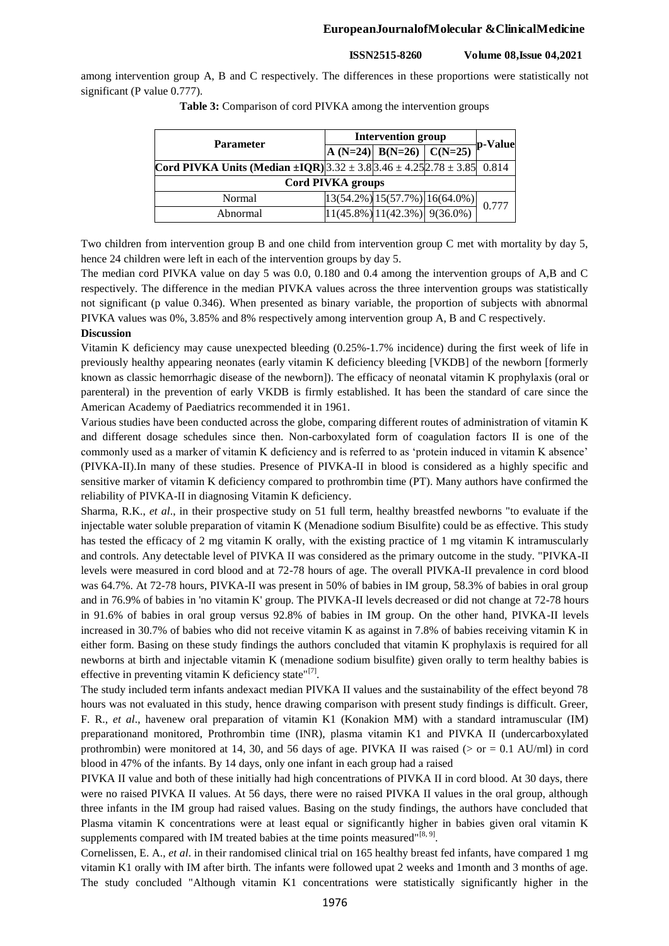## **EuropeanJournalofMolecular &ClinicalMedicine**

**ISSN2515-8260 Volume 08,Issue 04,2021**

among intervention group A, B and C respectively. The differences in these proportions were statistically not significant (P value 0.777).

| <b>Parameter</b>                                                                           | <b>Intervention group</b> |                                                          |                                      |         |  |  |  |
|--------------------------------------------------------------------------------------------|---------------------------|----------------------------------------------------------|--------------------------------------|---------|--|--|--|
|                                                                                            |                           | A (N=24) B(N=26) C(N=25)                                 |                                      | p-Value |  |  |  |
| <b>Cord PIVKA Units (Median ±IQR)</b> $3.32 \pm 3.8$ $3.46 \pm 4.25$ $2.78 \pm 3.85$ 0.814 |                           |                                                          |                                      |         |  |  |  |
| <b>Cord PIVKA groups</b>                                                                   |                           |                                                          |                                      |         |  |  |  |
| Normal                                                                                     |                           |                                                          | $ 13(54.2\%) 15(57.7\%) 16(64.0\%) $ | 0.777   |  |  |  |
| Abnormal                                                                                   |                           | $\left  \frac{11(45.8\%)}{11(42.3\%)} \right  9(36.0\%)$ |                                      |         |  |  |  |

**Table 3:** Comparison of cord PIVKA among the intervention groups

Two children from intervention group B and one child from intervention group C met with mortality by day 5, hence 24 children were left in each of the intervention groups by day 5.

The median cord PIVKA value on day 5 was 0.0, 0.180 and 0.4 among the intervention groups of A,B and C respectively. The difference in the median PIVKA values across the three intervention groups was statistically not significant (p value 0.346). When presented as binary variable, the proportion of subjects with abnormal PIVKA values was 0%, 3.85% and 8% respectively among intervention group A, B and C respectively.

## **Discussion**

Vitamin K deficiency may cause unexpected bleeding (0.25%-1.7% incidence) during the first week of life in previously healthy appearing neonates (early vitamin K deficiency bleeding [VKDB] of the newborn [formerly known as classic hemorrhagic disease of the newborn]). The efficacy of neonatal vitamin K prophylaxis (oral or parenteral) in the prevention of early VKDB is firmly established. It has been the standard of care since the American Academy of Paediatrics recommended it in 1961.

Various studies have been conducted across the globe, comparing different routes of administration of vitamin K and different dosage schedules since then. Non-carboxylated form of coagulation factors II is one of the commonly used as a marker of vitamin K deficiency and is referred to as 'protein induced in vitamin K absence' (PIVKA-II).In many of these studies. Presence of PIVKA-II in blood is considered as a highly specific and sensitive marker of vitamin K deficiency compared to prothrombin time (PT). Many authors have confirmed the reliability of PIVKA-II in diagnosing Vitamin K deficiency.

Sharma, R.K., *et al*., in their prospective study on 51 full term, healthy breastfed newborns "to evaluate if the injectable water soluble preparation of vitamin K (Menadione sodium Bisulfite) could be as effective. This study has tested the efficacy of 2 mg vitamin K orally, with the existing practice of 1 mg vitamin K intramuscularly and controls. Any detectable level of PIVKA II was considered as the primary outcome in the study. "PIVKA-II levels were measured in cord blood and at 72-78 hours of age. The overall PIVKA-II prevalence in cord blood was 64.7%. At 72-78 hours, PIVKA-II was present in 50% of babies in IM group, 58.3% of babies in oral group and in 76.9% of babies in 'no vitamin K' group. The PIVKA-II levels decreased or did not change at 72-78 hours in 91.6% of babies in oral group versus 92.8% of babies in IM group. On the other hand, PIVKA-II levels increased in 30.7% of babies who did not receive vitamin K as against in 7.8% of babies receiving vitamin K in either form. Basing on these study findings the authors concluded that vitamin K prophylaxis is required for all newborns at birth and injectable vitamin K (menadione sodium bisulfite) given orally to term healthy babies is effective in preventing vitamin K deficiency state" $[7]$ .

The study included term infants andexact median PIVKA II values and the sustainability of the effect beyond 78 hours was not evaluated in this study, hence drawing comparison with present study findings is difficult. Greer, F. R., *et al*., havenew oral preparation of vitamin K1 (Konakion MM) with a standard intramuscular (IM) preparationand monitored, Prothrombin time (INR), plasma vitamin K1 and PIVKA II (undercarboxylated prothrombin) were monitored at 14, 30, and 56 days of age. PIVKA II was raised ( $>$  or  $= 0.1$  AU/ml) in cord blood in 47% of the infants. By 14 days, only one infant in each group had a raised

PIVKA II value and both of these initially had high concentrations of PIVKA II in cord blood. At 30 days, there were no raised PIVKA II values. At 56 days, there were no raised PIVKA II values in the oral group, although three infants in the IM group had raised values. Basing on the study findings, the authors have concluded that Plasma vitamin K concentrations were at least equal or significantly higher in babies given oral vitamin K supplements compared with IM treated babies at the time points measured"<sup>[8, 9]</sup>.

Cornelissen, E. A., *et al*. in their randomised clinical trial on 165 healthy breast fed infants, have compared 1 mg vitamin K1 orally with IM after birth. The infants were followed upat 2 weeks and 1month and 3 months of age. The study concluded "Although vitamin K1 concentrations were statistically significantly higher in the